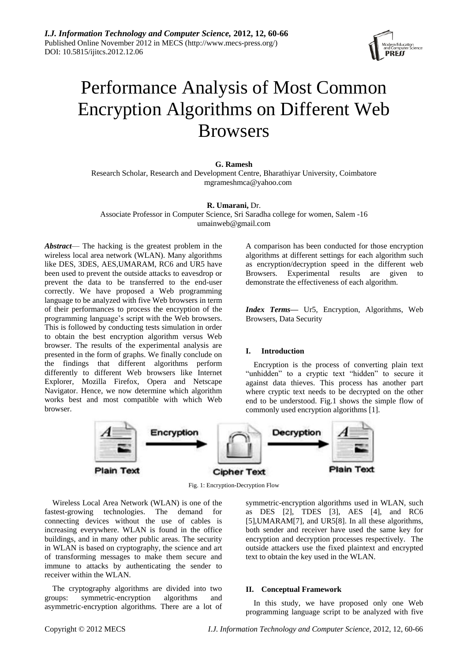

# Performance Analysis of Most Common Encryption Algorithms on Different Web Browsers

## **G. Ramesh**

Research Scholar, Research and Development Centre, Bharathiyar University, Coimbatore mgrameshmca@yahoo.com

## **R. Umarani,** Dr.

Associate Professor in Computer Science, Sri Saradha college for women, Salem -16 umainweb@gmail.com

*Abstract*— The hacking is the greatest problem in the wireless local area network (WLAN). Many algorithms like DES, 3DES, AES,UMARAM, RC6 and UR5 have been used to prevent the outside attacks to eavesdrop or prevent the data to be transferred to the end-user correctly. We have proposed a Web programming language to be analyzed with five Web browsers in term of their performances to process the encryption of the programming language's script with the Web browsers. This is followed by conducting tests simulation in order to obtain the best encryption algorithm versus Web browser. The results of the experimental analysis are presented in the form of graphs. We finally conclude on the findings that different algorithms perform differently to different Web browsers like Internet Explorer, Mozilla Firefox, Opera and Netscape Navigator. Hence, we now determine which algorithm works best and most compatible with which Web browser.

A comparison has been conducted for those encryption algorithms at different settings for each algorithm such as encryption/decryption speed in the different web Browsers. Experimental results are given to demonstrate the effectiveness of each algorithm.

*Index Terms***—** Ur5, Encryption, Algorithms, Web Browsers, Data Security

## **I. Introduction**

Encryption is the process of converting plain text "unhidden" to a cryptic text "hidden" to secure it against data thieves. This process has another part where cryptic text needs to be decrypted on the other end to be understood. Fig.1 shows the simple flow of commonly used encryption algorithms [1].



Fig. 1: Encryption-Decryption Flow

Wireless Local Area Network (WLAN) is one of the fastest-growing technologies. The demand for connecting devices without the use of cables is increasing everywhere. WLAN is found in the office buildings, and in many other public areas. The security in WLAN is based on cryptography, the science and art of transforming messages to make them secure and immune to attacks by authenticating the sender to receiver within the WLAN.

The cryptography algorithms are divided into two groups: symmetric-encryption algorithms and asymmetric-encryption algorithms. There are a lot of

symmetric-encryption algorithms used in WLAN, such as DES [2], TDES [3], AES [4], and RC6 [5],UMARAM[7], and UR5[8]. In all these algorithms, both sender and receiver have used the same key for encryption and decryption processes respectively. The outside attackers use the fixed plaintext and encrypted text to obtain the key used in the WLAN.

## **II. Conceptual Framework**

In this study, we have proposed only one Web programming language script to be analyzed with five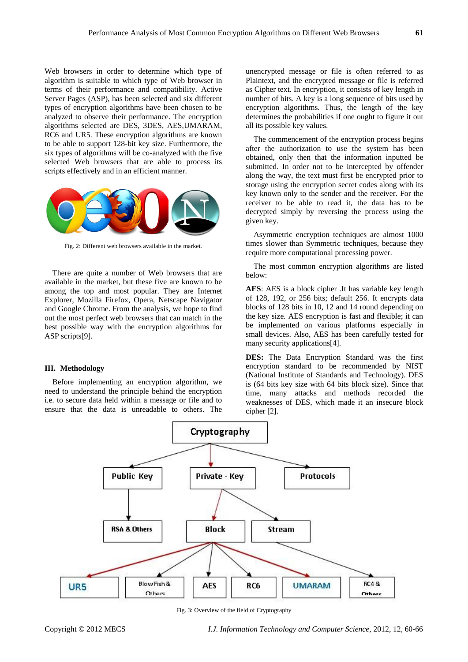Web browsers in order to determine which type of algorithm is suitable to which type of Web browser in terms of their performance and compatibility. Active Server Pages (ASP), has been selected and six different types of encryption algorithms have been chosen to be analyzed to observe their performance. The encryption algorithms selected are DES, 3DES, AES,UMARAM, RC6 and UR5. These encryption algorithms are known to be able to support 128-bit key size. Furthermore, the six types of algorithms will be co-analyzed with the five selected Web browsers that are able to process its scripts effectively and in an efficient manner.



Fig. 2: Different web browsers available in the market.

There are quite a number of Web browsers that are available in the market, but these five are known to be among the top and most popular. They are Internet Explorer, Mozilla Firefox, Opera, Netscape Navigator and Google Chrome. From the analysis, we hope to find out the most perfect web browsers that can match in the best possible way with the encryption algorithms for ASP scripts[9].

#### **III. Methodology**

Before implementing an encryption algorithm, we need to understand the principle behind the encryption i.e. to secure data held within a message or file and to ensure that the data is unreadable to others. The unencrypted message or file is often referred to as Plaintext, and the encrypted message or file is referred as Cipher text. In encryption, it consists of key length in number of bits. A key is a long sequence of bits used by encryption algorithms. Thus, the length of the key determines the probabilities if one ought to figure it out all its possible key values.

The commencement of the encryption process begins after the authorization to use the system has been obtained, only then that the information inputted be submitted. In order not to be intercepted by offender along the way, the text must first be encrypted prior to storage using the encryption secret codes along with its key known only to the sender and the receiver. For the receiver to be able to read it, the data has to be decrypted simply by reversing the process using the given key.

Asymmetric encryption techniques are almost 1000 times slower than Symmetric techniques, because they require more computational processing power.

The most common encryption algorithms are listed below:

**AES**: AES is a block cipher .It has variable key length of 128, 192, or 256 bits; default 256. It encrypts data blocks of 128 bits in 10, 12 and 14 round depending on the key size. AES encryption is fast and flexible; it can be implemented on various platforms especially in small devices. Also, AES has been carefully tested for many security applications[4].

**DES:** The Data Encryption Standard was the first encryption standard to be recommended by NIST (National Institute of Standards and Technology). DES is (64 bits key size with 64 bits block size). Since that time, many attacks and methods recorded the weaknesses of DES, which made it an insecure block cipher [2].



Fig. 3: Overview of the field of Cryptography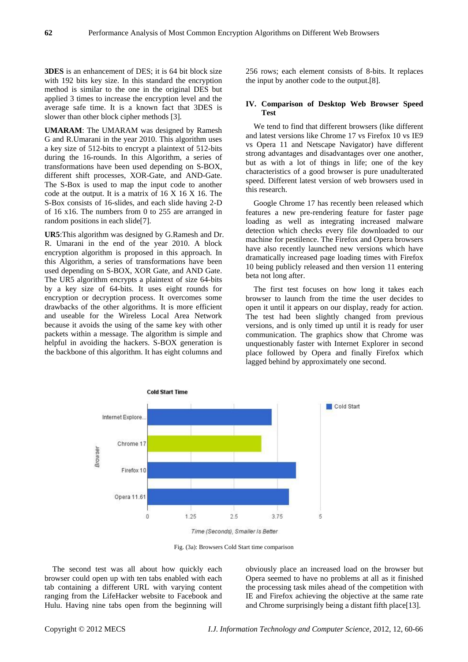**3DES** is an enhancement of DES; it is 64 bit block size with 192 bits key size. In this standard the encryption method is similar to the one in the original DES but applied 3 times to increase the encryption level and the average safe time. It is a known fact that 3DES is slower than other block cipher methods [3].

**UMARAM**: The UMARAM was designed by Ramesh G and R.Umarani in the year 2010. This algorithm uses a key size of 512-bits to encrypt a plaintext of 512-bits during the 16-rounds. In this Algorithm, a series of transformations have been used depending on S-BOX, different shift processes, XOR-Gate, and AND-Gate. The S-Box is used to map the input code to another code at the output. It is a matrix of 16 X 16 X 16. The S-Box consists of 16-slides, and each slide having 2-D of 16 x16. The numbers from 0 to 255 are arranged in random positions in each slide[7].

**UR5**:This algorithm was designed by G.Ramesh and Dr. R. Umarani in the end of the year 2010. A block encryption algorithm is proposed in this approach. In this Algorithm, a series of transformations have been used depending on S-BOX, XOR Gate, and AND Gate. The UR5 algorithm encrypts a plaintext of size 64-bits by a key size of 64-bits. It uses eight rounds for encryption or decryption process. It overcomes some drawbacks of the other algorithms. It is more efficient and useable for the Wireless Local Area Network because it avoids the using of the same key with other packets within a message. The algorithm is simple and helpful in avoiding the hackers. S-BOX generation is the backbone of this algorithm. It has eight columns and

256 rows; each element consists of 8-bits. It replaces the input by another code to the output.[8].

## **IV. Comparison of Desktop Web Browser Speed Test**

We tend to find that different browsers (like different and latest versions like Chrome 17 vs Firefox 10 vs IE9 vs Opera 11 and Netscape Navigator) have different strong advantages and disadvantages over one another, but as with a lot of things in life; one of the key characteristics of a good browser is pure unadulterated speed. Different latest version of web browsers used in this research.

Google Chrome 17 has recently been released which features a new pre-rendering feature for faster page loading as well as integrating increased malware detection which checks every file downloaded to our machine for pestilence. The Firefox and Opera browsers have also recently launched new versions which have dramatically increased page loading times with Firefox 10 being publicly released and then version 11 entering beta not long after.

The first test focuses on how long it takes each browser to launch from the time the user decides to open it until it appears on our display, ready for action. The test had been slightly changed from previous versions, and is only timed up until it is ready for user communication. The graphics show that Chrome was unquestionably faster with Internet Explorer in second place followed by Opera and finally Firefox which lagged behind by approximately one second.



Fig. (3a): Browsers Cold Start time comparison

The second test was all about how quickly each browser could open up with ten tabs enabled with each tab containing a different URL with varying content ranging from the LifeHacker website to Facebook and Hulu. Having nine tabs open from the beginning will obviously place an increased load on the browser but Opera seemed to have no problems at all as it finished the processing task miles ahead of the competition with IE and Firefox achieving the objective at the same rate and Chrome surprisingly being a distant fifth place[13].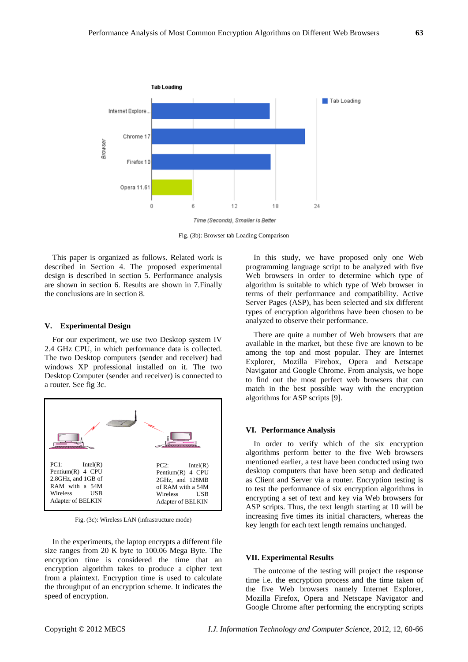

Fig. (3b): Browser tab Loading Comparison

This paper is organized as follows. Related work is described in Section 4. The proposed experimental design is described in section 5. Performance analysis are shown in section 6. Results are shown in 7.Finally the conclusions are in section 8.

#### **V. Experimental Design**

For our experiment, we use two Desktop system IV 2.4 GHz CPU, in which performance data is collected. The two Desktop computers (sender and receiver) had windows XP professional installed on it. The two Desktop Computer (sender and receiver) is connected to a router. See fig 3c.



Fig. (3c): Wireless LAN (infrastructure mode)

In the experiments, the laptop encrypts a different file size ranges from 20 K byte to 100.06 Mega Byte. The encryption time is considered the time that an encryption algorithm takes to produce a cipher text from a plaintext. Encryption time is used to calculate the throughput of an encryption scheme. It indicates the speed of encryption.

In this study, we have proposed only one Web programming language script to be analyzed with five Web browsers in order to determine which type of algorithm is suitable to which type of Web browser in terms of their performance and compatibility. Active Server Pages (ASP), has been selected and six different types of encryption algorithms have been chosen to be analyzed to observe their performance.

There are quite a number of Web browsers that are available in the market, but these five are known to be among the top and most popular. They are Internet Explorer, Mozilla Firebox, Opera and Netscape Navigator and Google Chrome. From analysis, we hope to find out the most perfect web browsers that can match in the best possible way with the encryption algorithms for ASP scripts [9].

#### **VI. Performance Analysis**

In order to verify which of the six encryption algorithms perform better to the five Web browsers mentioned earlier, a test have been conducted using two desktop computers that have been setup and dedicated as Client and Server via a router. Encryption testing is to test the performance of six encryption algorithms in encrypting a set of text and key via Web browsers for ASP scripts. Thus, the text length starting at 10 will be increasing five times its initial characters, whereas the key length for each text length remains unchanged.

#### **VII. Experimental Results**

The outcome of the testing will project the response time i.e. the encryption process and the time taken of the five Web browsers namely Internet Explorer, Mozilla Firefox, Opera and Netscape Navigator and Google Chrome after performing the encrypting scripts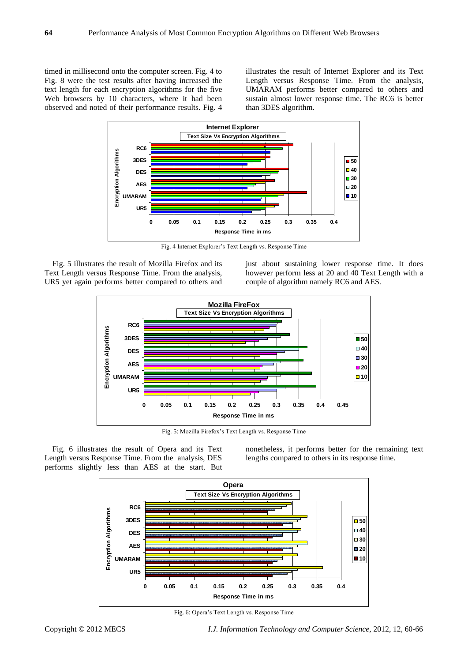timed in millisecond onto the computer screen. Fig. 4 to Fig. 8 were the test results after having increased the text length for each encryption algorithms for the five Web browsers by 10 characters, where it had been observed and noted of their performance results. Fig. 4

illustrates the result of Internet Explorer and its Text Length versus Response Time. From the analysis, UMARAM performs better compared to others and sustain almost lower response time. The RC6 is better than 3DES algorithm.



Fig. 4 Internet Explorer's Text Length vs. Response Time

Fig. 5 illustrates the result of Mozilla Firefox and its Text Length versus Response Time. From the analysis, UR5 yet again performs better compared to others and just about sustaining lower response time. It does however perform less at 20 and 40 Text Length with a couple of algorithm namely RC6 and AES.



Fig. 5: Mozilla Firefox's Text Length vs. Response Time

Fig. 6 illustrates the result of Opera and its Text Length versus Response Time. From the analysis, DES performs slightly less than AES at the start. But nonetheless, it performs better for the remaining text lengths compared to others in its response time.



Fig. 6: Opera's Text Length vs. Response Time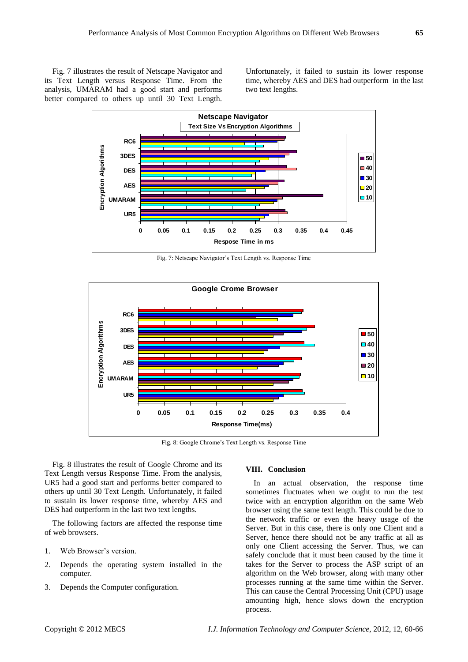Fig. 7 illustrates the result of Netscape Navigator and its Text Length versus Response Time. From the analysis, UMARAM had a good start and performs better compared to others up until 30 Text Length. Unfortunately, it failed to sustain its lower response time, whereby AES and DES had outperform in the last two text lengths.



Fig. 7: Netscape Navigator's Text Length vs. Response Time



Fig. 8: Google Chrome's Text Length vs. Response Time

Fig. 8 illustrates the result of Google Chrome and its Text Length versus Response Time. From the analysis, UR5 had a good start and performs better compared to others up until 30 Text Length. Unfortunately, it failed to sustain its lower response time, whereby AES and DES had outperform in the last two text lengths.

The following factors are affected the response time of web browsers.

- 1. Web Browser's version.
- 2. Depends the operating system installed in the computer.
- 3. Depends the Computer configuration.

## **VIII. Conclusion**

In an actual observation, the response time sometimes fluctuates when we ought to run the test twice with an encryption algorithm on the same Web browser using the same text length. This could be due to the network traffic or even the heavy usage of the Server. But in this case, there is only one Client and a Server, hence there should not be any traffic at all as only one Client accessing the Server. Thus, we can safely conclude that it must been caused by the time it takes for the Server to process the ASP script of an algorithm on the Web browser, along with many other processes running at the same time within the Server. This can cause the Central Processing Unit (CPU) usage amounting high, hence slows down the encryption process.